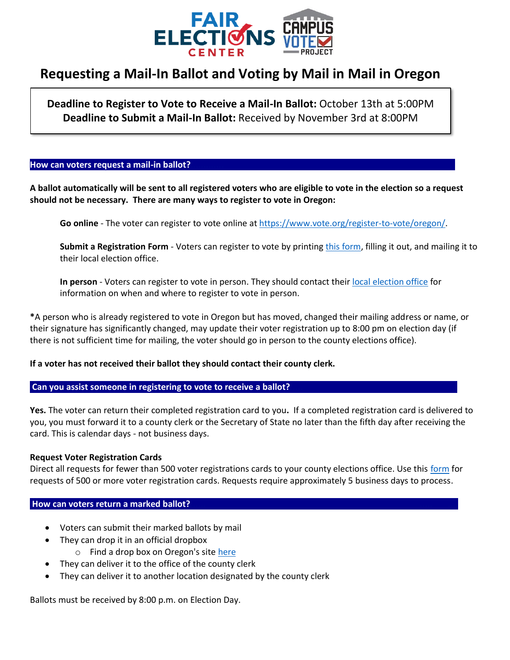

# **Requesting a Mail-In Ballot and Voting by Mail in Mail in Oregon**

**Deadline to Register to Vote to Receive a Mail-In Ballot:** October 13th at 5:00PM **Deadline to Submit a Mail-In Ballot:** Received by November 3rd at 8:00PM

#### How can voters request a mail-in ballot?

**A ballot automatically will be sent to all registered voters who are eligible to vote in the election so a request should not be necessary. There are many ways to register to vote in Oregon:**

**Go online** - The voter can register to vote online at [https://www.vote.org/register-to-vote/oregon/.](https://www.vote.org/register-to-vote/oregon/)

**Submit a Registration Form** - Voters can register to vote by printing [this form,](https://sos.oregon.gov/elections/Documents/SEL500.pdf) filling it out, and mailing it to their local election office.

**In person** - Voters can register to vote in person. They should contact their [local election office](https://sos.oregon.gov/elections/pages/countyofficials.aspx) for information on when and where to register to vote in person.

**\***A person who is already registered to vote in Oregon but has moved, changed their mailing address or name, or their signature has significantly changed, may update their voter registration up to 8:00 pm on election day (if there is not sufficient time for mailing, the voter should go in person to the county elections office).

### **If a voter has not received their ballot they should contact their county clerk.**

### **Can you assist someone in registering to vote to receive a ballot?**

**Yes.** The voter can return their completed registration card to you**.** If a completed registration card is delivered to you, you must forward it to a county clerk or the Secretary of State no later than the fifth day after receiving the card. This is calendar days - not business days.

### **Request Voter Registration Cards**

Direct all requests for fewer than 500 voter registrations cards to your county elections office. Use this [form](https://sos.oregon.gov/elections/Pages/request-voter-registration-cards.aspx) for requests of 500 or more voter registration cards. Requests require approximately 5 business days to process.

# **How can voters return a marked ballot?**

- Voters can submit their marked ballots by mail
- They can drop it in an official dropbox
	- o Find a drop box on Oregon's sit[e here](https://sos.oregon.gov/voting/Pages/drop-box-locator.aspx)
- They can deliver it to the office of the county clerk
- They can deliver it to another location designated by the county clerk

Ballots must be received by 8:00 p.m. on Election Day.